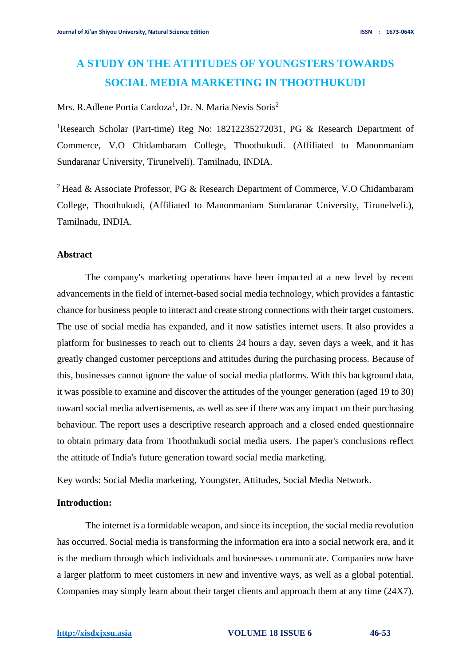# **A STUDY ON THE ATTITUDES OF YOUNGSTERS TOWARDS SOCIAL MEDIA MARKETING IN THOOTHUKUDI**

# Mrs. R.Adlene Portia Cardoza<sup>1</sup>, Dr. N. Maria Nevis Soris<sup>2</sup>

<sup>1</sup>Research Scholar (Part-time) Reg No: 18212235272031, PG & Research Department of Commerce, V.O Chidambaram College, Thoothukudi. (Affiliated to Manonmaniam Sundaranar University, Tirunelveli). Tamilnadu, INDIA.

<sup>2</sup> Head & Associate Professor, PG & Research Department of Commerce, V.O Chidambaram College, Thoothukudi, (Affiliated to Manonmaniam Sundaranar University, Tirunelveli.), Tamilnadu, INDIA.

# **Abstract**

The company's marketing operations have been impacted at a new level by recent advancements in the field of internet-based social media technology, which provides a fantastic chance for business people to interact and create strong connections with their target customers. The use of social media has expanded, and it now satisfies internet users. It also provides a platform for businesses to reach out to clients 24 hours a day, seven days a week, and it has greatly changed customer perceptions and attitudes during the purchasing process. Because of this, businesses cannot ignore the value of social media platforms. With this background data, it was possible to examine and discover the attitudes of the younger generation (aged 19 to 30) toward social media advertisements, as well as see if there was any impact on their purchasing behaviour. The report uses a descriptive research approach and a closed ended questionnaire to obtain primary data from Thoothukudi social media users. The paper's conclusions reflect the attitude of India's future generation toward social media marketing.

Key words: Social Media marketing, Youngster, Attitudes, Social Media Network.

# **Introduction:**

The internet is a formidable weapon, and since its inception, the social media revolution has occurred. Social media is transforming the information era into a social network era, and it is the medium through which individuals and businesses communicate. Companies now have a larger platform to meet customers in new and inventive ways, as well as a global potential. Companies may simply learn about their target clients and approach them at any time (24X7).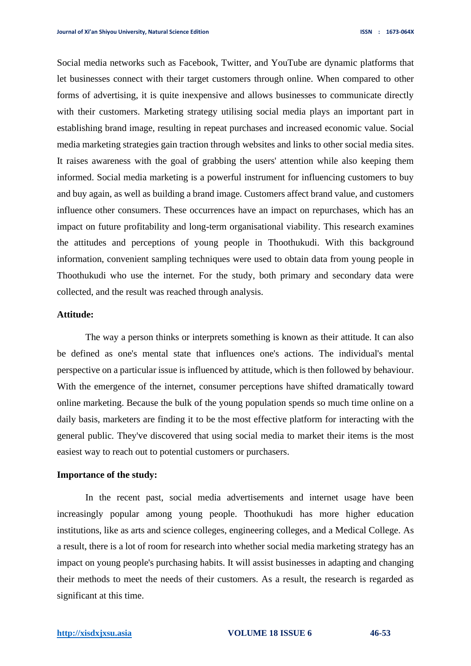Social media networks such as Facebook, Twitter, and YouTube are dynamic platforms that let businesses connect with their target customers through online. When compared to other forms of advertising, it is quite inexpensive and allows businesses to communicate directly with their customers. Marketing strategy utilising social media plays an important part in establishing brand image, resulting in repeat purchases and increased economic value. Social media marketing strategies gain traction through websites and links to other social media sites. It raises awareness with the goal of grabbing the users' attention while also keeping them informed. Social media marketing is a powerful instrument for influencing customers to buy and buy again, as well as building a brand image. Customers affect brand value, and customers influence other consumers. These occurrences have an impact on repurchases, which has an impact on future profitability and long-term organisational viability. This research examines the attitudes and perceptions of young people in Thoothukudi. With this background information, convenient sampling techniques were used to obtain data from young people in Thoothukudi who use the internet. For the study, both primary and secondary data were collected, and the result was reached through analysis.

#### **Attitude:**

The way a person thinks or interprets something is known as their attitude. It can also be defined as one's mental state that influences one's actions. The individual's mental perspective on a particular issue is influenced by attitude, which is then followed by behaviour. With the emergence of the internet, consumer perceptions have shifted dramatically toward online marketing. Because the bulk of the young population spends so much time online on a daily basis, marketers are finding it to be the most effective platform for interacting with the general public. They've discovered that using social media to market their items is the most easiest way to reach out to potential customers or purchasers.

#### **Importance of the study:**

In the recent past, social media advertisements and internet usage have been increasingly popular among young people. Thoothukudi has more higher education institutions, like as arts and science colleges, engineering colleges, and a Medical College. As a result, there is a lot of room for research into whether social media marketing strategy has an impact on young people's purchasing habits. It will assist businesses in adapting and changing their methods to meet the needs of their customers. As a result, the research is regarded as significant at this time.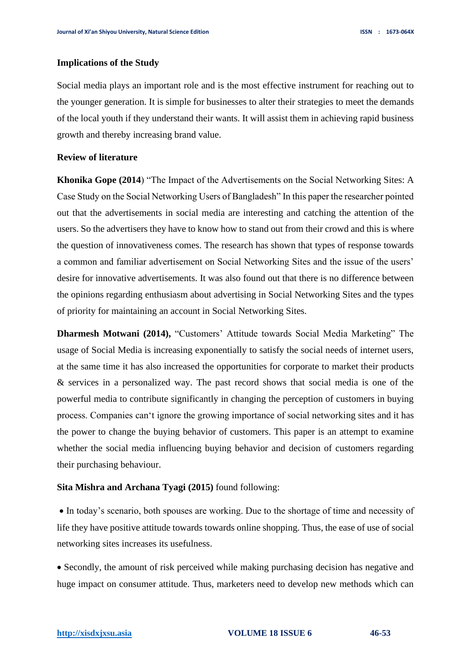#### **Implications of the Study**

Social media plays an important role and is the most effective instrument for reaching out to the younger generation. It is simple for businesses to alter their strategies to meet the demands of the local youth if they understand their wants. It will assist them in achieving rapid business growth and thereby increasing brand value.

## **Review of literature**

**Khonika Gope (2014**) "The Impact of the Advertisements on the Social Networking Sites: A Case Study on the Social Networking Users of Bangladesh" In this paper the researcher pointed out that the advertisements in social media are interesting and catching the attention of the users. So the advertisers they have to know how to stand out from their crowd and this is where the question of innovativeness comes. The research has shown that types of response towards a common and familiar advertisement on Social Networking Sites and the issue of the users' desire for innovative advertisements. It was also found out that there is no difference between the opinions regarding enthusiasm about advertising in Social Networking Sites and the types of priority for maintaining an account in Social Networking Sites.

**Dharmesh Motwani (2014),** "Customers' Attitude towards Social Media Marketing" The usage of Social Media is increasing exponentially to satisfy the social needs of internet users, at the same time it has also increased the opportunities for corporate to market their products & services in a personalized way. The past record shows that social media is one of the powerful media to contribute significantly in changing the perception of customers in buying process. Companies can't ignore the growing importance of social networking sites and it has the power to change the buying behavior of customers. This paper is an attempt to examine whether the social media influencing buying behavior and decision of customers regarding their purchasing behaviour.

# **Sita Mishra and Archana Tyagi (2015)** found following:

• In today's scenario, both spouses are working. Due to the shortage of time and necessity of life they have positive attitude towards towards online shopping. Thus, the ease of use of social networking sites increases its usefulness.

• Secondly, the amount of risk perceived while making purchasing decision has negative and huge impact on consumer attitude. Thus, marketers need to develop new methods which can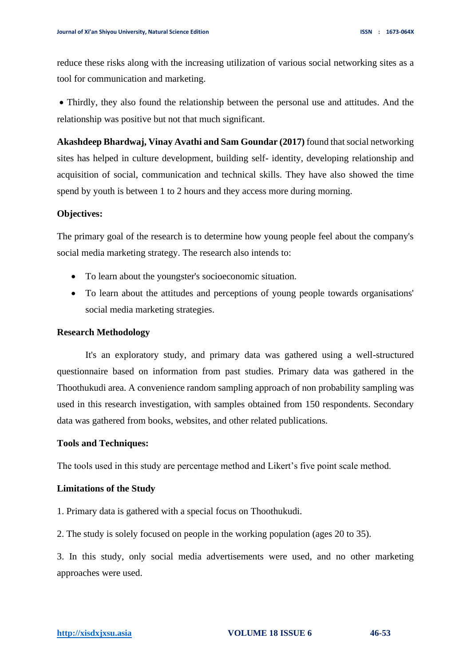reduce these risks along with the increasing utilization of various social networking sites as a tool for communication and marketing.

• Thirdly, they also found the relationship between the personal use and attitudes. And the relationship was positive but not that much significant.

**Akashdeep Bhardwaj, Vinay Avathi and Sam Goundar (2017)** found that social networking sites has helped in culture development, building self- identity, developing relationship and acquisition of social, communication and technical skills. They have also showed the time spend by youth is between 1 to 2 hours and they access more during morning.

## **Objectives:**

The primary goal of the research is to determine how young people feel about the company's social media marketing strategy. The research also intends to:

- To learn about the youngster's socioeconomic situation.
- To learn about the attitudes and perceptions of young people towards organisations' social media marketing strategies.

#### **Research Methodology**

It's an exploratory study, and primary data was gathered using a well-structured questionnaire based on information from past studies. Primary data was gathered in the Thoothukudi area. A convenience random sampling approach of non probability sampling was used in this research investigation, with samples obtained from 150 respondents. Secondary data was gathered from books, websites, and other related publications.

#### **Tools and Techniques:**

The tools used in this study are percentage method and Likert's five point scale method.

## **Limitations of the Study**

1. Primary data is gathered with a special focus on Thoothukudi.

2. The study is solely focused on people in the working population (ages 20 to 35).

3. In this study, only social media advertisements were used, and no other marketing approaches were used.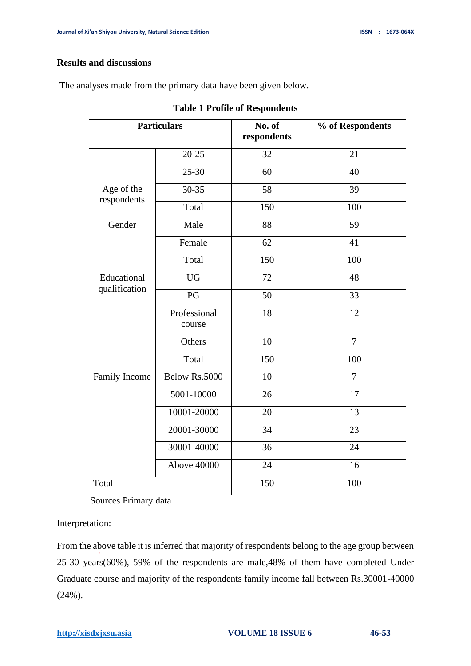# **Results and discussions**

The analyses made from the primary data have been given below.

| <b>Particulars</b>           |                        | No. of<br>respondents | % of Respondents |  |  |
|------------------------------|------------------------|-----------------------|------------------|--|--|
|                              | $20 - 25$              | 32                    | 21               |  |  |
| Age of the<br>respondents    | $25 - 30$              | 60                    | 40               |  |  |
|                              | 30-35                  | 58                    | 39               |  |  |
|                              | Total                  | 150                   | 100              |  |  |
| Gender                       | Male                   | 88                    | 59               |  |  |
|                              | Female                 | 62                    | 41               |  |  |
|                              | Total                  | 150                   | 100              |  |  |
| Educational<br>qualification | $\overline{UG}$        | 72                    | 48               |  |  |
|                              | PG                     | 50<br>33              |                  |  |  |
|                              | Professional<br>course | 18                    | 12               |  |  |
|                              | Others                 | 10                    | $\overline{7}$   |  |  |
|                              | Total                  | 150                   | 100              |  |  |
| Family Income                | Below Rs.5000          | 10                    | $\overline{7}$   |  |  |
|                              | 5001-10000             | 26                    | 17               |  |  |
|                              | 10001-20000            | 20                    | 13               |  |  |
|                              | 20001-30000            | 34                    | 23               |  |  |
|                              | 30001-40000            | 36                    | 24               |  |  |
|                              | <b>Above 40000</b>     | 24                    | 16               |  |  |
| Total                        |                        | 150                   | 100              |  |  |

|  |  |  | <b>Table 1 Profile of Respondents</b> |
|--|--|--|---------------------------------------|
|--|--|--|---------------------------------------|

Sources Primary data

Interpretation:

From the above table it is inferred that majority of respondents belong to the age group between 25-30 years(60%), 59% of the respondents are male,48% of them have completed Under Graduate course and majority of the respondents family income fall between Rs.30001-40000 (24%).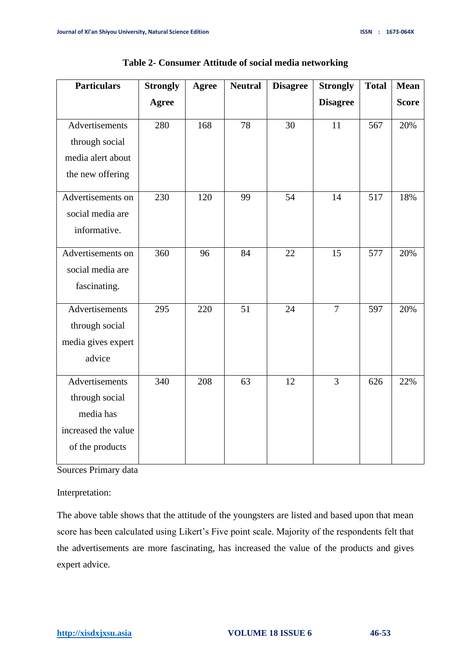| <b>Particulars</b>  | <b>Strongly</b> | Agree | <b>Neutral</b> | <b>Disagree</b> | <b>Strongly</b> | <b>Total</b> | <b>Mean</b>  |
|---------------------|-----------------|-------|----------------|-----------------|-----------------|--------------|--------------|
|                     | <b>Agree</b>    |       |                |                 | <b>Disagree</b> |              | <b>Score</b> |
| Advertisements      | 280             | 168   | 78             | 30              | 11              | 567          | 20%          |
| through social      |                 |       |                |                 |                 |              |              |
| media alert about   |                 |       |                |                 |                 |              |              |
| the new offering    |                 |       |                |                 |                 |              |              |
| Advertisements on   | 230             | 120   | 99             | 54              | 14              | 517          | 18%          |
| social media are    |                 |       |                |                 |                 |              |              |
| informative.        |                 |       |                |                 |                 |              |              |
| Advertisements on   | 360             | 96    | 84             | 22              | 15              | 577          | 20%          |
| social media are    |                 |       |                |                 |                 |              |              |
| fascinating.        |                 |       |                |                 |                 |              |              |
| Advertisements      | 295             | 220   | 51             | 24              | $\overline{7}$  | 597          | 20%          |
| through social      |                 |       |                |                 |                 |              |              |
| media gives expert  |                 |       |                |                 |                 |              |              |
| advice              |                 |       |                |                 |                 |              |              |
| Advertisements      | 340             | 208   | 63             | 12              | $\overline{3}$  | 626          | 22%          |
| through social      |                 |       |                |                 |                 |              |              |
| media has           |                 |       |                |                 |                 |              |              |
| increased the value |                 |       |                |                 |                 |              |              |
| of the products     |                 |       |                |                 |                 |              |              |

**Table 2- Consumer Attitude of social media networking**

Sources Primary data

Interpretation:

The above table shows that the attitude of the youngsters are listed and based upon that mean score has been calculated using Likert's Five point scale. Majority of the respondents felt that the advertisements are more fascinating, has increased the value of the products and gives expert advice.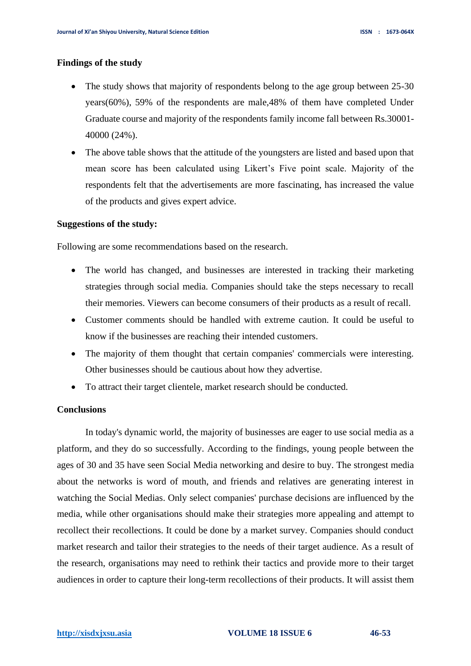## **Findings of the study**

- The study shows that majority of respondents belong to the age group between 25-30 years(60%), 59% of the respondents are male,48% of them have completed Under Graduate course and majority of the respondents family income fall between Rs.30001- 40000 (24%).
- The above table shows that the attitude of the youngsters are listed and based upon that mean score has been calculated using Likert's Five point scale. Majority of the respondents felt that the advertisements are more fascinating, has increased the value of the products and gives expert advice.

#### **Suggestions of the study:**

Following are some recommendations based on the research.

- The world has changed, and businesses are interested in tracking their marketing strategies through social media. Companies should take the steps necessary to recall their memories. Viewers can become consumers of their products as a result of recall.
- Customer comments should be handled with extreme caution. It could be useful to know if the businesses are reaching their intended customers.
- The majority of them thought that certain companies' commercials were interesting. Other businesses should be cautious about how they advertise.
- To attract their target clientele, market research should be conducted.

### **Conclusions**

In today's dynamic world, the majority of businesses are eager to use social media as a platform, and they do so successfully. According to the findings, young people between the ages of 30 and 35 have seen Social Media networking and desire to buy. The strongest media about the networks is word of mouth, and friends and relatives are generating interest in watching the Social Medias. Only select companies' purchase decisions are influenced by the media, while other organisations should make their strategies more appealing and attempt to recollect their recollections. It could be done by a market survey. Companies should conduct market research and tailor their strategies to the needs of their target audience. As a result of the research, organisations may need to rethink their tactics and provide more to their target audiences in order to capture their long-term recollections of their products. It will assist them